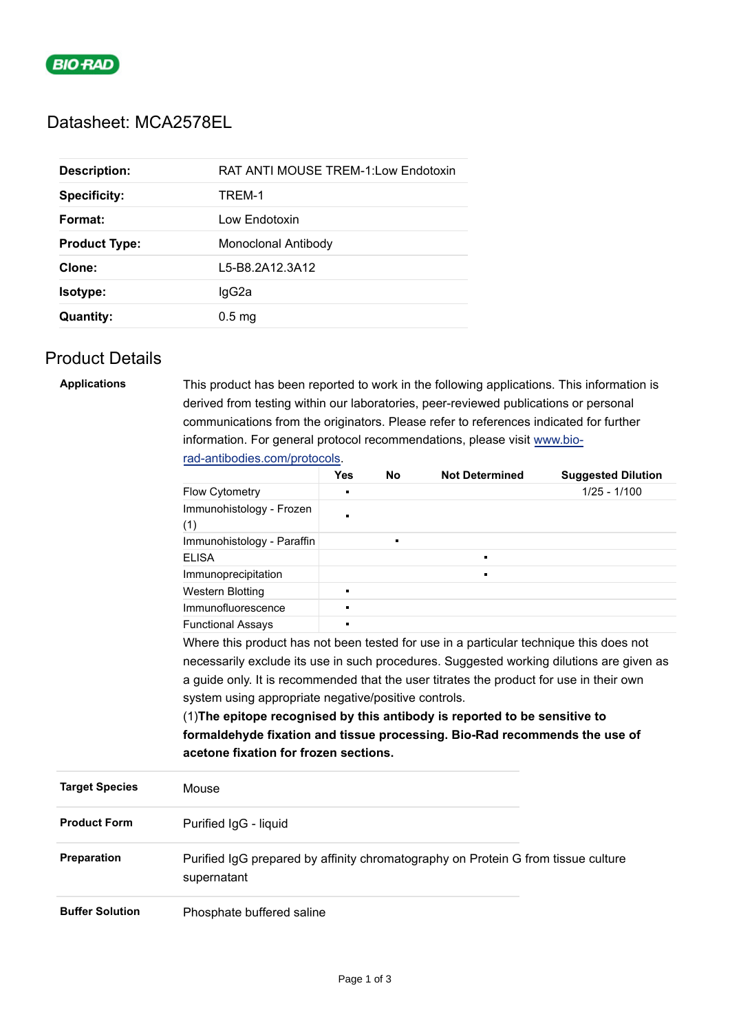

# Datasheet: MCA2578EL

| <b>Description:</b>  | <b>RAT ANTI MOUSE TREM-1:Low Endotoxin</b> |
|----------------------|--------------------------------------------|
| <b>Specificity:</b>  | TREM-1                                     |
| Format:              | Low Endotoxin                              |
| <b>Product Type:</b> | Monoclonal Antibody                        |
| Clone:               | L5-B8.2A12.3A12                            |
| <b>Isotype:</b>      | lgG2a                                      |
| <b>Quantity:</b>     | 0.5 <sub>mg</sub>                          |
|                      |                                            |

## Product Details

| <b>Applications</b>    | This product has been reported to work in the following applications. This information is<br>derived from testing within our laboratories, peer-reviewed publications or personal<br>communications from the originators. Please refer to references indicated for further                                                                                                                                          |                                                                                                           |                |                       |                           |  |                                                                            |
|------------------------|---------------------------------------------------------------------------------------------------------------------------------------------------------------------------------------------------------------------------------------------------------------------------------------------------------------------------------------------------------------------------------------------------------------------|-----------------------------------------------------------------------------------------------------------|----------------|-----------------------|---------------------------|--|----------------------------------------------------------------------------|
|                        |                                                                                                                                                                                                                                                                                                                                                                                                                     | information. For general protocol recommendations, please visit www.bio-<br>rad-antibodies.com/protocols. |                |                       |                           |  |                                                                            |
|                        |                                                                                                                                                                                                                                                                                                                                                                                                                     |                                                                                                           |                |                       |                           |  |                                                                            |
|                        |                                                                                                                                                                                                                                                                                                                                                                                                                     | <b>Yes</b>                                                                                                | <b>No</b>      | <b>Not Determined</b> | <b>Suggested Dilution</b> |  |                                                                            |
|                        | Flow Cytometry                                                                                                                                                                                                                                                                                                                                                                                                      | Ē.                                                                                                        |                |                       | $1/25 - 1/100$            |  |                                                                            |
|                        | Immunohistology - Frozen<br>(1)                                                                                                                                                                                                                                                                                                                                                                                     | $\blacksquare$                                                                                            |                |                       |                           |  |                                                                            |
|                        | Immunohistology - Paraffin                                                                                                                                                                                                                                                                                                                                                                                          |                                                                                                           | $\blacksquare$ |                       |                           |  |                                                                            |
|                        | <b>ELISA</b>                                                                                                                                                                                                                                                                                                                                                                                                        |                                                                                                           |                | $\blacksquare$        |                           |  |                                                                            |
|                        | Immunoprecipitation                                                                                                                                                                                                                                                                                                                                                                                                 |                                                                                                           |                |                       |                           |  |                                                                            |
|                        | <b>Western Blotting</b>                                                                                                                                                                                                                                                                                                                                                                                             | n,                                                                                                        |                |                       |                           |  |                                                                            |
|                        | Immunofluorescence                                                                                                                                                                                                                                                                                                                                                                                                  | П                                                                                                         |                |                       |                           |  |                                                                            |
|                        | <b>Functional Assays</b>                                                                                                                                                                                                                                                                                                                                                                                            |                                                                                                           |                |                       |                           |  |                                                                            |
|                        | Where this product has not been tested for use in a particular technique this does not<br>necessarily exclude its use in such procedures. Suggested working dilutions are given as<br>a guide only. It is recommended that the user titrates the product for use in their own<br>system using appropriate negative/positive controls.<br>(1) The epitope recognised by this antibody is reported to be sensitive to |                                                                                                           |                |                       |                           |  |                                                                            |
|                        |                                                                                                                                                                                                                                                                                                                                                                                                                     |                                                                                                           |                |                       |                           |  |                                                                            |
|                        |                                                                                                                                                                                                                                                                                                                                                                                                                     |                                                                                                           |                |                       |                           |  |                                                                            |
|                        |                                                                                                                                                                                                                                                                                                                                                                                                                     |                                                                                                           |                |                       |                           |  |                                                                            |
|                        |                                                                                                                                                                                                                                                                                                                                                                                                                     |                                                                                                           |                |                       |                           |  | formaldehyde fixation and tissue processing. Bio-Rad recommends the use of |
|                        | acetone fixation for frozen sections.                                                                                                                                                                                                                                                                                                                                                                               |                                                                                                           |                |                       |                           |  |                                                                            |
| <b>Target Species</b>  | Mouse                                                                                                                                                                                                                                                                                                                                                                                                               |                                                                                                           |                |                       |                           |  |                                                                            |
| <b>Product Form</b>    | Purified IgG - liquid                                                                                                                                                                                                                                                                                                                                                                                               |                                                                                                           |                |                       |                           |  |                                                                            |
| Preparation            | Purified IgG prepared by affinity chromatography on Protein G from tissue culture<br>supernatant                                                                                                                                                                                                                                                                                                                    |                                                                                                           |                |                       |                           |  |                                                                            |
| <b>Buffer Solution</b> | Phosphate buffered saline                                                                                                                                                                                                                                                                                                                                                                                           |                                                                                                           |                |                       |                           |  |                                                                            |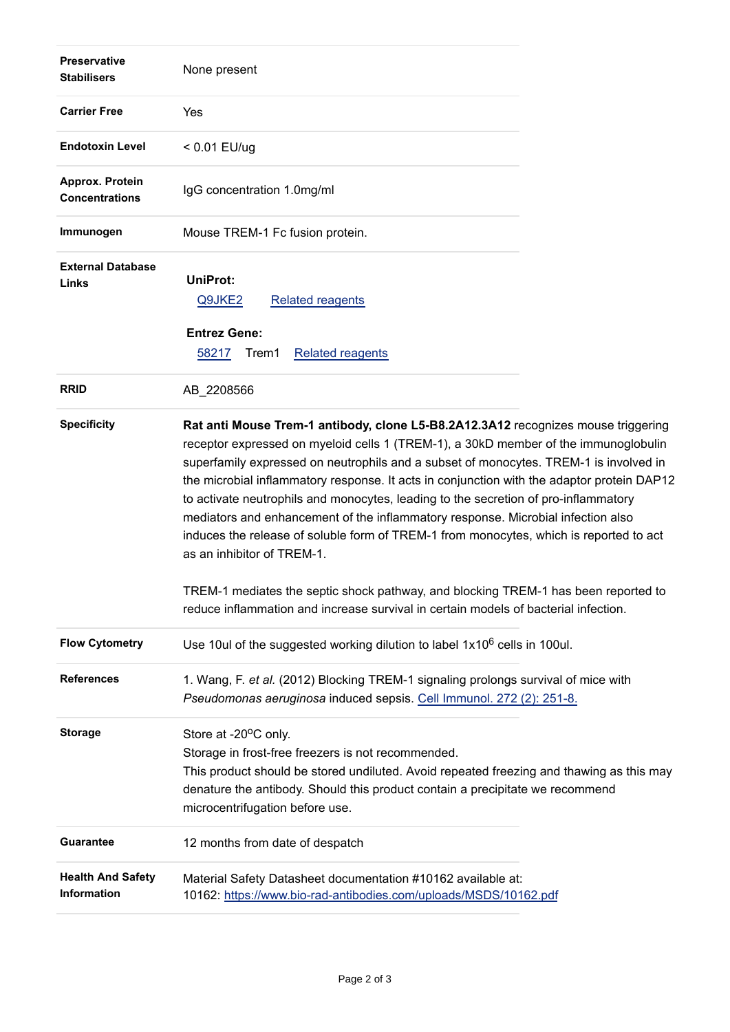| <b>Preservative</b><br><b>Stabilisers</b> | None present                                                                                                                                                                                                                                                                                                                                                                                                                                                                                                                                                                                                                                                                                                                                                                                                                                    |  |
|-------------------------------------------|-------------------------------------------------------------------------------------------------------------------------------------------------------------------------------------------------------------------------------------------------------------------------------------------------------------------------------------------------------------------------------------------------------------------------------------------------------------------------------------------------------------------------------------------------------------------------------------------------------------------------------------------------------------------------------------------------------------------------------------------------------------------------------------------------------------------------------------------------|--|
| <b>Carrier Free</b>                       | Yes                                                                                                                                                                                                                                                                                                                                                                                                                                                                                                                                                                                                                                                                                                                                                                                                                                             |  |
| <b>Endotoxin Level</b>                    | < 0.01 EU/ug                                                                                                                                                                                                                                                                                                                                                                                                                                                                                                                                                                                                                                                                                                                                                                                                                                    |  |
| Approx. Protein<br><b>Concentrations</b>  | IgG concentration 1.0mg/ml                                                                                                                                                                                                                                                                                                                                                                                                                                                                                                                                                                                                                                                                                                                                                                                                                      |  |
| Immunogen                                 | Mouse TREM-1 Fc fusion protein.                                                                                                                                                                                                                                                                                                                                                                                                                                                                                                                                                                                                                                                                                                                                                                                                                 |  |
| <b>External Database</b><br>Links         | <b>UniProt:</b><br>Q9JKE2<br><b>Related reagents</b><br><b>Entrez Gene:</b><br>Trem1                                                                                                                                                                                                                                                                                                                                                                                                                                                                                                                                                                                                                                                                                                                                                            |  |
|                                           | 58217<br><b>Related reagents</b>                                                                                                                                                                                                                                                                                                                                                                                                                                                                                                                                                                                                                                                                                                                                                                                                                |  |
| <b>RRID</b>                               | AB_2208566                                                                                                                                                                                                                                                                                                                                                                                                                                                                                                                                                                                                                                                                                                                                                                                                                                      |  |
| <b>Specificity</b>                        | Rat anti Mouse Trem-1 antibody, clone L5-B8.2A12.3A12 recognizes mouse triggering<br>receptor expressed on myeloid cells 1 (TREM-1), a 30kD member of the immunoglobulin<br>superfamily expressed on neutrophils and a subset of monocytes. TREM-1 is involved in<br>the microbial inflammatory response. It acts in conjunction with the adaptor protein DAP12<br>to activate neutrophils and monocytes, leading to the secretion of pro-inflammatory<br>mediators and enhancement of the inflammatory response. Microbial infection also<br>induces the release of soluble form of TREM-1 from monocytes, which is reported to act<br>as an inhibitor of TREM-1.<br>TREM-1 mediates the septic shock pathway, and blocking TREM-1 has been reported to<br>reduce inflammation and increase survival in certain models of bacterial infection. |  |
| <b>Flow Cytometry</b>                     | Use 10ul of the suggested working dilution to label $1x10^6$ cells in 100ul.                                                                                                                                                                                                                                                                                                                                                                                                                                                                                                                                                                                                                                                                                                                                                                    |  |
| <b>References</b>                         | 1. Wang, F. et al. (2012) Blocking TREM-1 signaling prolongs survival of mice with<br>Pseudomonas aeruginosa induced sepsis. Cell Immunol. 272 (2): 251-8.                                                                                                                                                                                                                                                                                                                                                                                                                                                                                                                                                                                                                                                                                      |  |
| <b>Storage</b>                            | Store at -20°C only.<br>Storage in frost-free freezers is not recommended.<br>This product should be stored undiluted. Avoid repeated freezing and thawing as this may<br>denature the antibody. Should this product contain a precipitate we recommend<br>microcentrifugation before use.                                                                                                                                                                                                                                                                                                                                                                                                                                                                                                                                                      |  |
| <b>Guarantee</b>                          | 12 months from date of despatch                                                                                                                                                                                                                                                                                                                                                                                                                                                                                                                                                                                                                                                                                                                                                                                                                 |  |
| <b>Health And Safety</b><br>Information   | Material Safety Datasheet documentation #10162 available at:<br>10162: https://www.bio-rad-antibodies.com/uploads/MSDS/10162.pdf                                                                                                                                                                                                                                                                                                                                                                                                                                                                                                                                                                                                                                                                                                                |  |